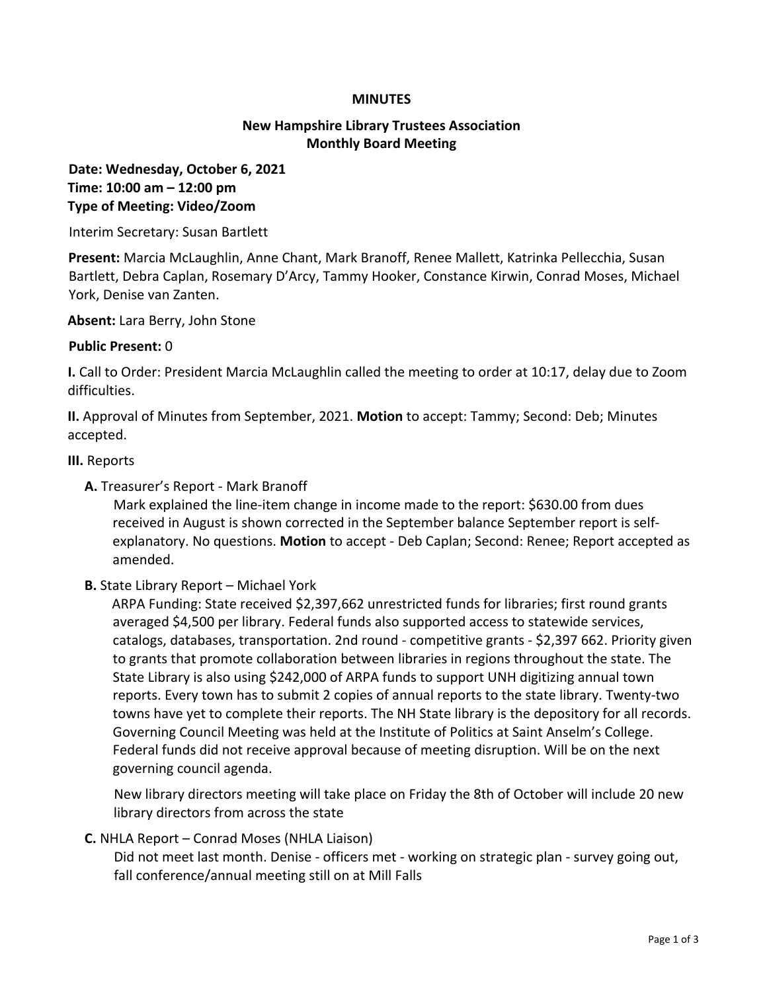#### **MINUTES**

# **New Hampshire Library Trustees Association Monthly Board Meeting**

# **Date: Wednesday, October 6, 2021 Time: 10:00 am – 12:00 pm Type of Meeting: Video/Zoom**

Interim Secretary: Susan Bartlett

**Present:** Marcia McLaughlin, Anne Chant, Mark Branoff, Renee Mallett, Katrinka Pellecchia, Susan Bartlett, Debra Caplan, Rosemary D'Arcy, Tammy Hooker, Constance Kirwin, Conrad Moses, Michael York, Denise van Zanten.

**Absent:** Lara Berry, John Stone

#### **Public Present:** 0

**I.** Call to Order: President Marcia McLaughlin called the meeting to order at 10:17, delay due to Zoom difficulties.

**II.** Approval of Minutes from September, 2021. **Motion** to accept: Tammy; Second: Deb; Minutes accepted.

#### **III.** Reports

**A.** Treasurer's Report - Mark Branoff

Mark explained the line-item change in income made to the report: \$630.00 from dues received in August is shown corrected in the September balance September report is selfexplanatory. No questions. **Motion** to accept - Deb Caplan; Second: Renee; Report accepted as amended.

# **B.** State Library Report – Michael York

ARPA Funding: State received \$2,397,662 unrestricted funds for libraries; first round grants averaged \$4,500 per library. Federal funds also supported access to statewide services, catalogs, databases, transportation. 2nd round - competitive grants - \$2,397 662. Priority given to grants that promote collaboration between libraries in regions throughout the state. The State Library is also using \$242,000 of ARPA funds to support UNH digitizing annual town reports. Every town has to submit 2 copies of annual reports to the state library. Twenty-two towns have yet to complete their reports. The NH State library is the depository for all records. Governing Council Meeting was held at the Institute of Politics at Saint Anselm's College. Federal funds did not receive approval because of meeting disruption. Will be on the next governing council agenda.

New library directors meeting will take place on Friday the 8th of October will include 20 new library directors from across the state

# **C.** NHLA Report – Conrad Moses (NHLA Liaison)

Did not meet last month. Denise - officers met - working on strategic plan - survey going out, fall conference/annual meeting still on at Mill Falls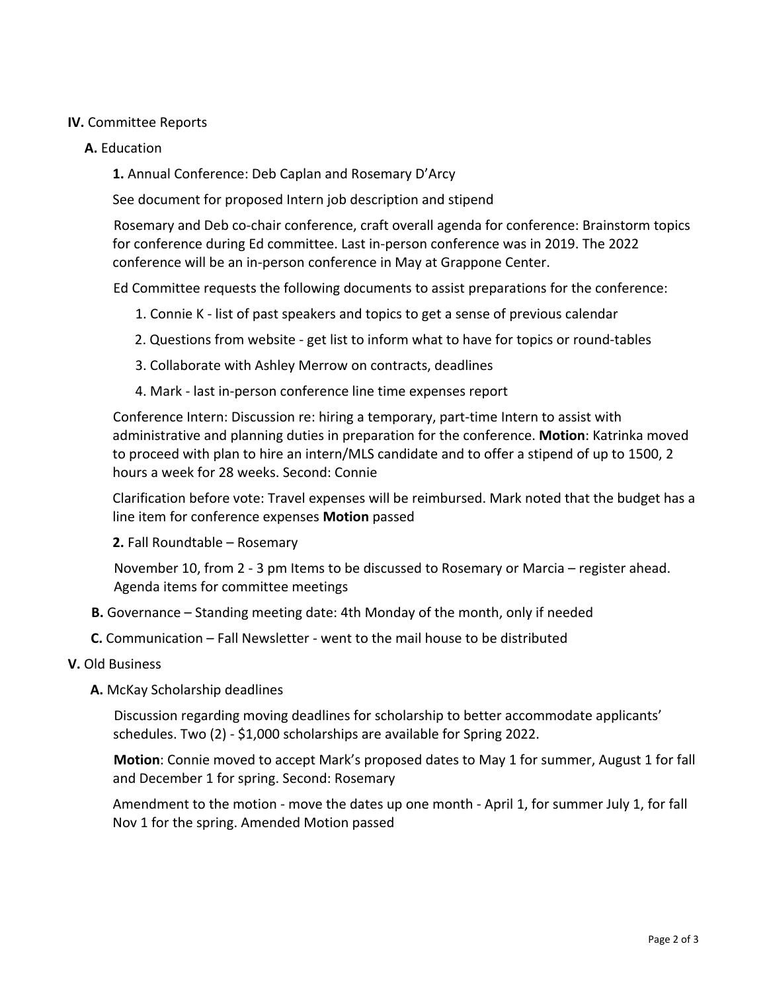## **IV.** Committee Reports

#### **A.** Education

**1.** Annual Conference: Deb Caplan and Rosemary D'Arcy

See document for proposed Intern job description and stipend

Rosemary and Deb co-chair conference, craft overall agenda for conference: Brainstorm topics for conference during Ed committee. Last in-person conference was in 2019. The 2022 conference will be an in-person conference in May at Grappone Center.

Ed Committee requests the following documents to assist preparations for the conference:

- 1. Connie K list of past speakers and topics to get a sense of previous calendar
- 2. Questions from website get list to inform what to have for topics or round-tables
- 3. Collaborate with Ashley Merrow on contracts, deadlines
- 4. Mark last in-person conference line time expenses report

Conference Intern: Discussion re: hiring a temporary, part-time Intern to assist with administrative and planning duties in preparation for the conference. **Motion**: Katrinka moved to proceed with plan to hire an intern/MLS candidate and to offer a stipend of up to 1500, 2 hours a week for 28 weeks. Second: Connie

Clarification before vote: Travel expenses will be reimbursed. Mark noted that the budget has a line item for conference expenses **Motion** passed

#### **2.** Fall Roundtable – Rosemary

November 10, from 2 - 3 pm Items to be discussed to Rosemary or Marcia – register ahead. Agenda items for committee meetings

- **B.** Governance Standing meeting date: 4th Monday of the month, only if needed
- **C.** Communication Fall Newsletter went to the mail house to be distributed
- **V.** Old Business
	- **A.** McKay Scholarship deadlines

Discussion regarding moving deadlines for scholarship to better accommodate applicants' schedules. Two (2) - \$1,000 scholarships are available for Spring 2022.

**Motion**: Connie moved to accept Mark's proposed dates to May 1 for summer, August 1 for fall and December 1 for spring. Second: Rosemary

Amendment to the motion - move the dates up one month - April 1, for summer July 1, for fall Nov 1 for the spring. Amended Motion passed